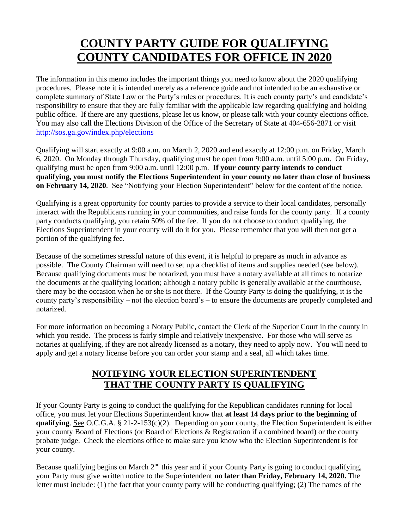# **COUNTY PARTY GUIDE FOR QUALIFYING COUNTY CANDIDATES FOR OFFICE IN 2020**

The information in this memo includes the important things you need to know about the 2020 qualifying procedures. Please note it is intended merely as a reference guide and not intended to be an exhaustive or complete summary of State Law or the Party's rules or procedures. It is each county party's and candidate's responsibility to ensure that they are fully familiar with the applicable law regarding qualifying and holding public office. If there are any questions, please let us know, or please talk with your county elections office. You may also call the Elections Division of the Office of the Secretary of State at 404-656-2871 or visit <http://sos.ga.gov/index.php/elections>

Qualifying will start exactly at 9:00 a.m. on March 2, 2020 and end exactly at 12:00 p.m. on Friday, March 6, 2020. On Monday through Thursday, qualifying must be open from 9:00 a.m. until 5:00 p.m. On Friday, qualifying must be open from 9:00 a.m. until 12:00 p.m. **If your county party intends to conduct qualifying, you must notify the Elections Superintendent in your county no later than close of business on February 14, 2020**. See "Notifying your Election Superintendent" below for the content of the notice.

Qualifying is a great opportunity for county parties to provide a service to their local candidates, personally interact with the Republicans running in your communities, and raise funds for the county party. If a county party conducts qualifying, you retain 50% of the fee. If you do not choose to conduct qualifying, the Elections Superintendent in your county will do it for you. Please remember that you will then not get a portion of the qualifying fee.

Because of the sometimes stressful nature of this event, it is helpful to prepare as much in advance as possible. The County Chairman will need to set up a checklist of items and supplies needed (see below). Because qualifying documents must be notarized, you must have a notary available at all times to notarize the documents at the qualifying location; although a notary public is generally available at the courthouse, there may be the occasion when he or she is not there. If the County Party is doing the qualifying, it is the county party's responsibility – not the election board's – to ensure the documents are properly completed and notarized.

For more information on becoming a Notary Public, contact the Clerk of the Superior Court in the county in which you reside. The process is fairly simple and relatively inexpensive. For those who will serve as notaries at qualifying, if they are not already licensed as a notary, they need to apply now. You will need to apply and get a notary license before you can order your stamp and a seal, all which takes time.

# **NOTIFYING YOUR ELECTION SUPERINTENDENT THAT THE COUNTY PARTY IS QUALIFYING**

If your County Party is going to conduct the qualifying for the Republican candidates running for local office, you must let your Elections Superintendent know that **at least 14 days prior to the beginning of qualifying**. See O.C.G.A. § 21-2-153(c)(2). Depending on your county, the Election Superintendent is either your county Board of Elections (or Board of Elections & Registration if a combined board) or the county probate judge. Check the elections office to make sure you know who the Election Superintendent is for your county.

Because qualifying begins on March 2<sup>nd</sup> this year and if your County Party is going to conduct qualifying, your Party must give written notice to the Superintendent **no later than Friday, February 14, 2020.** The letter must include: (1) the fact that your county party will be conducting qualifying; (2) The names of the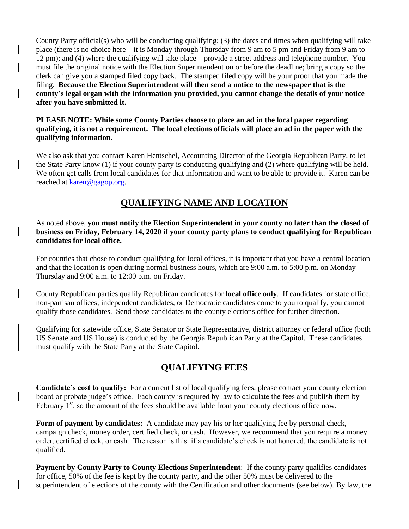County Party official(s) who will be conducting qualifying; (3) the dates and times when qualifying will take place (there is no choice here – it is Monday through Thursday from 9 am to 5 pm and Friday from 9 am to 12 pm); and (4) where the qualifying will take place – provide a street address and telephone number. You must file the original notice with the Election Superintendent on or before the deadline; bring a copy so the clerk can give you a stamped filed copy back. The stamped filed copy will be your proof that you made the filing. **Because the Election Superintendent will then send a notice to the newspaper that is the county's legal organ with the information you provided, you cannot change the details of your notice after you have submitted it.**

### **PLEASE NOTE: While some County Parties choose to place an ad in the local paper regarding qualifying, it is not a requirement. The local elections officials will place an ad in the paper with the qualifying information.**

We also ask that you contact Karen Hentschel, Accounting Director of the Georgia Republican Party, to let the State Party know (1) if your county party is conducting qualifying and (2) where qualifying will be held. We often get calls from local candidates for that information and want to be able to provide it. Karen can be reached at [karen@gagop.org.](mailto:karen@gagop.org)

# **QUALIFYING NAME AND LOCATION**

As noted above, **you must notify the Election Superintendent in your county no later than the closed of business on Friday, February 14, 2020 if your county party plans to conduct qualifying for Republican candidates for local office.**

For counties that chose to conduct qualifying for local offices, it is important that you have a central location and that the location is open during normal business hours, which are  $9:00$  a.m. to  $5:00$  p.m. on Monday – Thursday and 9:00 a.m. to 12:00 p.m. on Friday.

County Republican parties qualify Republican candidates for **local office only**. If candidates for state office, non-partisan offices, independent candidates, or Democratic candidates come to you to qualify, you cannot qualify those candidates. Send those candidates to the county elections office for further direction.

Qualifying for statewide office, State Senator or State Representative, district attorney or federal office (both US Senate and US House) is conducted by the Georgia Republican Party at the Capitol. These candidates must qualify with the State Party at the State Capitol.

### **QUALIFYING FEES**

**Candidate's cost to qualify:** For a current list of local qualifying fees, please contact your county election board or probate judge's office. Each county is required by law to calculate the fees and publish them by February  $1<sup>st</sup>$ , so the amount of the fees should be available from your county elections office now.

**Form of payment by candidates:** A candidate may pay his or her qualifying fee by personal check, campaign check, money order, certified check, or cash. However, we recommend that you require a money order, certified check, or cash. The reason is this: if a candidate's check is not honored, the candidate is not qualified.

**Payment by County Party to County Elections Superintendent**: If the county party qualifies candidates for office, 50% of the fee is kept by the county party, and the other 50% must be delivered to the superintendent of elections of the county with the Certification and other documents (see below). By law, the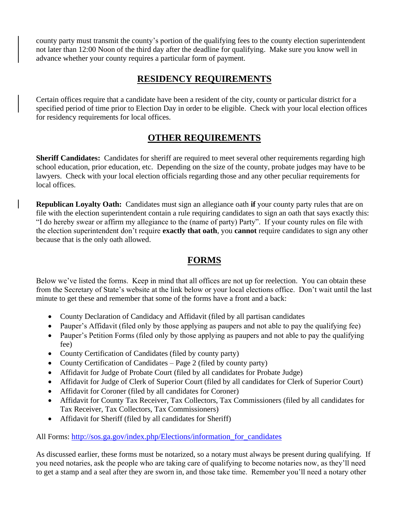county party must transmit the county's portion of the qualifying fees to the county election superintendent not later than 12:00 Noon of the third day after the deadline for qualifying. Make sure you know well in advance whether your county requires a particular form of payment.

## **RESIDENCY REQUIREMENTS**

Certain offices require that a candidate have been a resident of the city, county or particular district for a specified period of time prior to Election Day in order to be eligible. Check with your local election offices for residency requirements for local offices.

# **OTHER REQUIREMENTS**

**Sheriff Candidates:** Candidates for sheriff are required to meet several other requirements regarding high school education, prior education, etc. Depending on the size of the county, probate judges may have to be lawyers. Check with your local election officials regarding those and any other peculiar requirements for local offices.

**Republican Loyalty Oath:** Candidates must sign an allegiance oath **if** your county party rules that are on file with the election superintendent contain a rule requiring candidates to sign an oath that says exactly this: "I do hereby swear or affirm my allegiance to the (name of party) Party". If your county rules on file with the election superintendent don't require **exactly that oath**, you **cannot** require candidates to sign any other because that is the only oath allowed.

# **FORMS**

Below we've listed the forms. Keep in mind that all offices are not up for reelection. You can obtain these from the Secretary of State's website at the link below or your local elections office. Don't wait until the last minute to get these and remember that some of the forms have a front and a back:

- County Declaration of Candidacy and Affidavit (filed by all partisan candidates
- Pauper's Affidavit (filed only by those applying as paupers and not able to pay the qualifying fee)
- Pauper's Petition Forms (filed only by those applying as paupers and not able to pay the qualifying fee)
- County Certification of Candidates (filed by county party)
- County Certification of Candidates Page 2 (filed by county party)
- Affidavit for Judge of Probate Court (filed by all candidates for Probate Judge)
- Affidavit for Judge of Clerk of Superior Court (filed by all candidates for Clerk of Superior Court)
- Affidavit for Coroner (filed by all candidates for Coroner)
- Affidavit for County Tax Receiver, Tax Collectors, Tax Commissioners (filed by all candidates for Tax Receiver, Tax Collectors, Tax Commissioners)
- Affidavit for Sheriff (filed by all candidates for Sheriff)

All Forms: http://sos.ga.gov/index.php/Elections/information for candidates

As discussed earlier, these forms must be notarized, so a notary must always be present during qualifying. If you need notaries, ask the people who are taking care of qualifying to become notaries now, as they'll need to get a stamp and a seal after they are sworn in, and those take time. Remember you'll need a notary other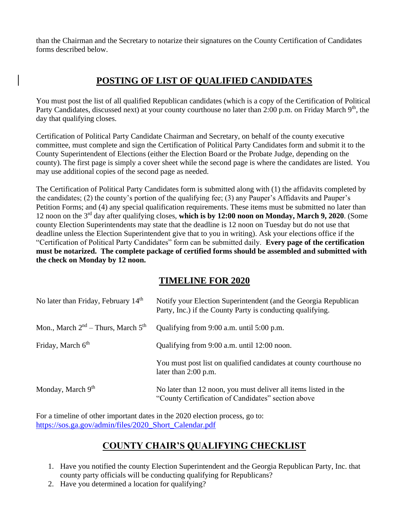than the Chairman and the Secretary to notarize their signatures on the County Certification of Candidates forms described below.

# **POSTING OF LIST OF QUALIFIED CANDIDATES**

You must post the list of all qualified Republican candidates (which is a copy of the Certification of Political Party Candidates, discussed next) at your county courthouse no later than 2:00 p.m. on Friday March 9<sup>th</sup>, the day that qualifying closes.

Certification of Political Party Candidate Chairman and Secretary, on behalf of the county executive committee, must complete and sign the Certification of Political Party Candidates form and submit it to the County Superintendent of Elections (either the Election Board or the Probate Judge, depending on the county). The first page is simply a cover sheet while the second page is where the candidates are listed. You may use additional copies of the second page as needed.

The Certification of Political Party Candidates form is submitted along with (1) the affidavits completed by the candidates; (2) the county's portion of the qualifying fee; (3) any Pauper's Affidavits and Pauper's Petition Forms; and (4) any special qualification requirements. These items must be submitted no later than 12 noon on the 3rd day after qualifying closes, **which is by 12:00 noon on Monday, March 9, 2020**. (Some county Election Superintendents may state that the deadline is 12 noon on Tuesday but do not use that deadline unless the Election Superintendent give that to you in writing). Ask your elections office if the "Certification of Political Party Candidates" form can be submitted daily. **Every page of the certification must be notarized. The complete package of certified forms should be assembled and submitted with the check on Monday by 12 noon.**

### **TIMELINE FOR 2020**

| No later than Friday, February 14 <sup>th</sup> | Notify your Election Superintendent (and the Georgia Republican<br>Party, Inc.) if the County Party is conducting qualifying. |
|-------------------------------------------------|-------------------------------------------------------------------------------------------------------------------------------|
| Mon., March $2nd$ – Thurs, March $5th$          | Qualifying from 9:00 a.m. until 5:00 p.m.                                                                                     |
| Friday, March 6 <sup>th</sup>                   | Qualifying from 9:00 a.m. until 12:00 noon.                                                                                   |
|                                                 | You must post list on qualified candidates at county courthouse no<br>later than $2:00$ p.m.                                  |
| Monday, March 9th                               | No later than 12 noon, you must deliver all items listed in the<br>"County Certification of Candidates" section above         |

For a timeline of other important dates in the 2020 election process, go to: [https://sos.ga.gov/admin/files/2020\\_Short\\_Calendar.pdf](https://sos.ga.gov/admin/files/2020_Short_Calendar.pdf)

# **COUNTY CHAIR'S QUALIFYING CHECKLIST**

- 1. Have you notified the county Election Superintendent and the Georgia Republican Party, Inc. that county party officials will be conducting qualifying for Republicans?
- 2. Have you determined a location for qualifying?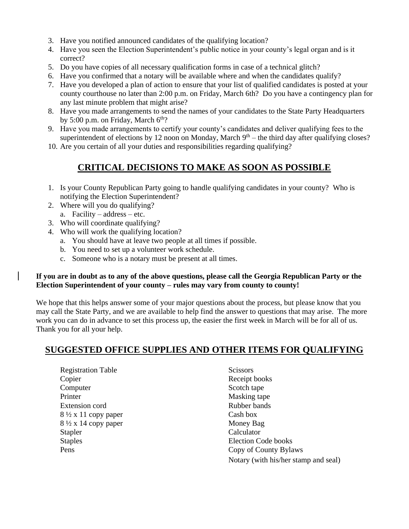- 3. Have you notified announced candidates of the qualifying location?
- 4. Have you seen the Election Superintendent's public notice in your county's legal organ and is it correct?
- 5. Do you have copies of all necessary qualification forms in case of a technical glitch?
- 6. Have you confirmed that a notary will be available where and when the candidates qualify?
- 7. Have you developed a plan of action to ensure that your list of qualified candidates is posted at your county courthouse no later than 2:00 p.m. on Friday, March 6th? Do you have a contingency plan for any last minute problem that might arise?
- 8. Have you made arrangements to send the names of your candidates to the State Party Headquarters by 5:00 p.m. on Friday, March  $6<sup>th</sup>$ ?
- 9. Have you made arrangements to certify your county's candidates and deliver qualifying fees to the superintendent of elections by 12 noon on Monday, March  $9<sup>th</sup>$  – the third day after qualifying closes?
- 10. Are you certain of all your duties and responsibilities regarding qualifying?

# **CRITICAL DECISIONS TO MAKE AS SOON AS POSSIBLE**

- 1. Is your County Republican Party going to handle qualifying candidates in your county? Who is notifying the Election Superintendent?
- 2. Where will you do qualifying?
	- a. Facility address etc.
- 3. Who will coordinate qualifying?
- 4. Who will work the qualifying location?
	- a. You should have at leave two people at all times if possible.
	- b. You need to set up a volunteer work schedule.
	- c. Someone who is a notary must be present at all times.

### **If you are in doubt as to any of the above questions, please call the Georgia Republican Party or the Election Superintendent of your county – rules may vary from county to county!**

We hope that this helps answer some of your major questions about the process, but please know that you may call the State Party, and we are available to help find the answer to questions that may arise. The more work you can do in advance to set this process up, the easier the first week in March will be for all of us. Thank you for all your help.

# **SUGGESTED OFFICE SUPPLIES AND OTHER ITEMS FOR QUALIFYING**

Registration Table Scissors Copier Receipt books Computer Scotch tape Printer Masking tape Extension cord Rubber bands  $8\frac{1}{2}$  x 11 copy paper Cash box 8 ½ x 14 copy paper Money Bag Stapler Calculator Staples Election Code books

Pens Copy of County Bylaws Notary (with his/her stamp and seal)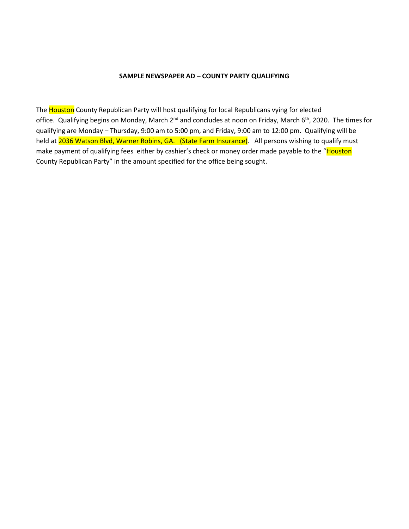#### **SAMPLE NEWSPAPER AD – COUNTY PARTY QUALIFYING**

The Houston County Republican Party will host qualifying for local Republicans vying for elected office. Qualifying begins on Monday, March 2<sup>nd</sup> and concludes at noon on Friday, March 6<sup>th</sup>, 2020. The times for qualifying are Monday – Thursday, 9:00 am to 5:00 pm, and Friday, 9:00 am to 12:00 pm. Qualifying will be held a[t 2036 Watson Blvd, Warner Robins, GA. \(State](https://maps.google.com/?q=2036+Watson+Blvd,+Warner+Robins,+GA.+(State&entry=gmail&source=g) Farm Insurance). All persons wishing to qualify must make payment of qualifying fees either by cashier's check or money order made payable to the "Houston County Republican Party" in the amount specified for the office being sought.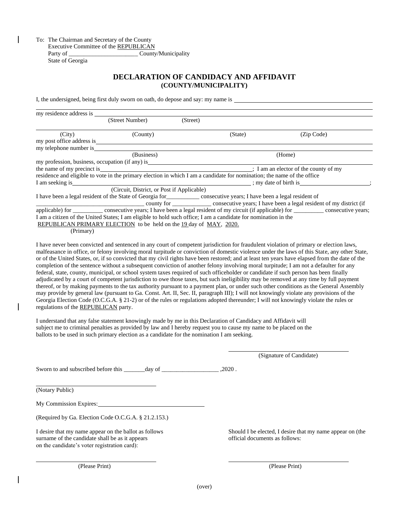To: The Chairman and Secretary of the County Executive Committee of the REPUBLICAN Party of \_\_\_\_\_\_\_\_\_\_\_\_\_\_\_\_\_\_\_\_\_\_\_\_\_\_\_\_\_\_\_\_\_\_ County/Municipality State of Georgia

### **DECLARATION OF CANDIDACY AND AFFIDAVIT (COUNTY/MUNICIPALITY)**

I, the undersigned, being first duly sworn on oath, do depose and say: my name is

| my residence address is    |                                                                                                                                  |          |                       |                                                                                                                      |
|----------------------------|----------------------------------------------------------------------------------------------------------------------------------|----------|-----------------------|----------------------------------------------------------------------------------------------------------------------|
|                            | (Street Number)                                                                                                                  | (Street) |                       |                                                                                                                      |
| (City)                     | (County)                                                                                                                         |          | (State)               | (Zip Code)                                                                                                           |
| my post office address is  |                                                                                                                                  |          |                       |                                                                                                                      |
| my telephone number is     |                                                                                                                                  |          |                       |                                                                                                                      |
|                            | (Business)                                                                                                                       |          |                       | (Home)                                                                                                               |
|                            | my profession, business, occupation (if any) is                                                                                  |          |                       |                                                                                                                      |
| the name of my precinct is | $\frac{1}{2}$ am an elector of the county of my                                                                                  |          |                       |                                                                                                                      |
|                            | residence and eligible to vote in the primary election in which I am a candidate for nomination; the name of the office          |          |                       |                                                                                                                      |
| I am seeking is            |                                                                                                                                  |          | ; my date of birth is |                                                                                                                      |
|                            | (Circuit, District, or Post if Applicable)                                                                                       |          |                       |                                                                                                                      |
|                            | I have been a legal resident of the State of Georgia for<br><u>expression</u> consecutive years; I have been a legal resident of |          |                       |                                                                                                                      |
|                            |                                                                                                                                  |          |                       | county for ____________ consecutive years; I have been a legal resident of my district (if                           |
|                            |                                                                                                                                  |          |                       | applicable) for consecutive years; I have been a legal resident of my circuit (if applicable) for consecutive years; |
|                            | I am a citizen of the United States; I am eligible to hold such office; I am a candidate for nomination in the                   |          |                       |                                                                                                                      |
|                            | REPUBLICAN PRIMARY ELECTION to be held on the 19 day of MAY, 2020.                                                               |          |                       |                                                                                                                      |
| (Primary)                  |                                                                                                                                  |          |                       |                                                                                                                      |

I have never been convicted and sentenced in any court of competent jurisdiction for fraudulent violation of primary or election laws, malfeasance in office, or felony involving moral turpitude or conviction of domestic violence under the laws of this State, any other State, or of the United States, or, if so convicted that my civil rights have been restored; and at least ten years have elapsed from the date of the completion of the sentence without a subsequent conviction of another felony involving moral turpitude; I am not a defaulter for any federal, state, county, municipal, or school system taxes required of such officeholder or candidate if such person has been finally adjudicated by a court of competent jurisdiction to owe those taxes, but such ineligibility may be removed at any time by full payment thereof, or by making payments to the tax authority pursuant to a payment plan, or under such other conditions as the General Assembly may provide by general law (pursuant to Ga. Const. Art. II, Sec. II, paragraph III); I will not knowingly violate any provisions of the Georgia Election Code (O.C.G.A. § 21-2) or of the rules or regulations adopted thereunder; I will not knowingly violate the rules or regulations of the REPUBLICAN party.

I understand that any false statement knowingly made by me in this Declaration of Candidacy and Affidavit will subject me to criminal penalties as provided by law and I hereby request you to cause my name to be placed on the ballots to be used in such primary election as a candidate for the nomination I am seeking.

(Signature of Candidate)

Sworn to and subscribed before this \_\_\_\_\_\_day of \_\_\_\_\_\_\_\_\_\_\_\_\_\_\_\_\_\_\_\_\_,2020.

(Notary Public)

My Commission Expires:

(Required by Ga. Election Code O.C.G.A. § 21.2.153.)

I desire that my name appear on the ballot as follows Should I be elected, I desire that my name appear on (the surname of the candidate shall be as it appears **official documents** as follows: on the candidate's voter registration card):

(Please Print) (Please Print)

(over)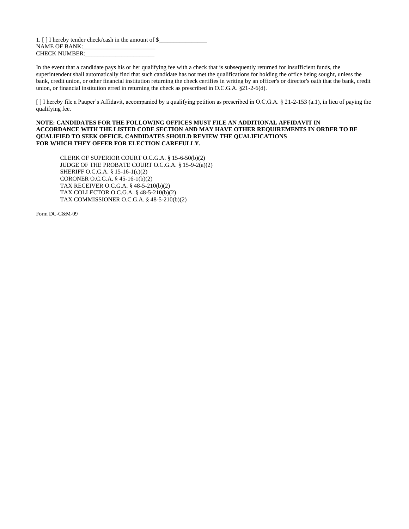1. [ ] I hereby tender check/cash in the amount of \$\_ NAME OF BANK: CHECK NUMBER:

In the event that a candidate pays his or her qualifying fee with a check that is subsequently returned for insufficient funds, the superintendent shall automatically find that such candidate has not met the qualifications for holding the office being sought, unless the bank, credit union, or other financial institution returning the check certifies in writing by an officer's or director's oath that the bank, credit union, or financial institution erred in returning the check as prescribed in O.C.G.A. §21-2-6(d).

[ ] I hereby file a Pauper's Affidavit, accompanied by a qualifying petition as prescribed in O.C.G.A. § 21-2-153 (a.1), in lieu of paying the qualifying fee.

#### **NOTE: CANDIDATES FOR THE FOLLOWING OFFICES MUST FILE AN ADDITIONAL AFFIDAVIT IN ACCORDANCE WITH THE LISTED CODE SECTION AND MAY HAVE OTHER REQUIREMENTS IN ORDER TO BE QUALIFIED TO SEEK OFFICE. CANDIDATES SHOULD REVIEW THE QUALIFICATIONS FOR WHICH THEY OFFER FOR ELECTION CAREFULLY.**

CLERK OF SUPERIOR COURT O.C.G.A. § 15-6-50(b)(2) JUDGE OF THE PROBATE COURT O.C.G.A. § 15-9-2(a)(2) SHERIFF O.C.G.A. § 15-16-1(c)(2) CORONER O.C.G.A. § 45-16-1(b)(2) TAX RECEIVER O.C.G.A. § 48-5-210(b)(2) TAX COLLECTOR O.C.G.A. § 48-5-210(b)(2) TAX COMMISSIONER O.C.G.A. § 48-5-210(b)(2)

Form DC-C&M-09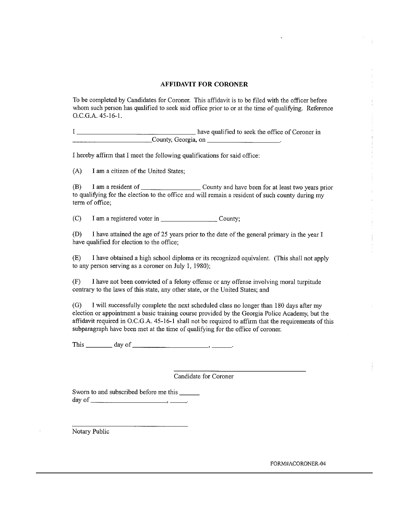#### **AFFIDAVIT FOR CORONER**

To be completed by Candidates for Coroner. This affidavit is to be filed with the officer before whom such person has qualified to seek said office prior to or at the time of qualifying. Reference O.C.G.A. 45-16-1.

I hereby affirm that I meet the following qualifications for said office:

 $(A)$ I am a citizen of the United States;

 $(B)$ to qualifying for the election to the office and will remain a resident of such county during my term of office:

I am a registered voter in County;  $(C)$ 

(D) I have attained the age of 25 years prior to the date of the general primary in the year I have qualified for election to the office;

I have obtained a high school diploma or its recognized equivalent. (This shall not apply  $(E)$ to any person serving as a coroner on July 1, 1980);

I have not been convicted of a felony offense or any offense involving moral turpitude  $(F)$ contrary to the laws of this state, any other state, or the United States; and

 $(G)$ I will successfully complete the next scheduled class no longer than 180 days after my election or appointment a basic training course provided by the Georgia Police Academy, but the affidavit required in O.C.G.A. 45-16-1 shall not be required to affirm that the requirements of this subparagraph have been met at the time of qualifying for the office of coroner.

This  $\_\_\_\_\_$  day of  $\_\_\_\_\_\_\_\_\_\_\_\_\_\.\_$ 

Candidate for Coroner

Sworn to and subscribed before me this 

Notary Public

FORM#ACORONER-04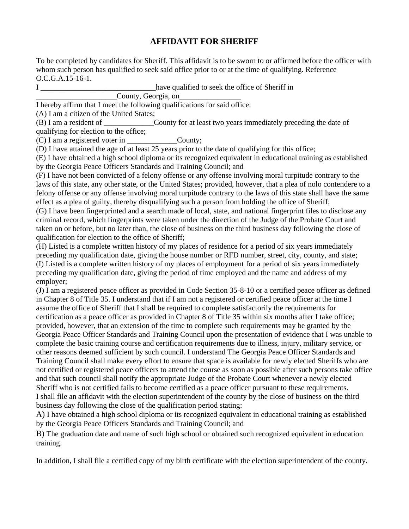### **AFFIDAVIT FOR SHERIFF**

To be completed by candidates for Sheriff. This affidavit is to be sworn to or affirmed before the officer with whom such person has qualified to seek said office prior to or at the time of qualifying. Reference O.C.G.A.15-16-1.

I Learning that the seek the office of Sheriff in  $\mathbf{I}$ 

County, Georgia, on\_

I hereby affirm that I meet the following qualifications for said office:

(A) I am a citizen of the United States;

(B) I am a resident of \_\_\_\_\_\_\_\_\_\_\_\_\_County for at least two years immediately preceding the date of qualifying for election to the office;

(C) I am a registered voter in County;

(D) I have attained the age of at least 25 years prior to the date of qualifying for this office;

(E) I have obtained a high school diploma or its recognized equivalent in educational training as established by the Georgia Peace Officers Standards and Training Council; and

(F) I have not been convicted of a felony offense or any offense involving moral turpitude contrary to the laws of this state, any other state, or the United States; provided, however, that a plea of nolo contendere to a felony offense or any offense involving moral turpitude contrary to the laws of this state shall have the same effect as a plea of guilty, thereby disqualifying such a person from holding the office of Sheriff;

(G) I have been fingerprinted and a search made of local, state, and national fingerprint files to disclose any criminal record, which fingerprints were taken under the direction of the Judge of the Probate Court and taken on or before, but no later than, the close of business on the third business day following the close of qualification for election to the office of Sheriff;

(H) Listed is a complete written history of my places of residence for a period of six years immediately preceding my qualification date, giving the house number or RFD number, street, city, county, and state; (I) Listed is a complete written history of my places of employment for a period of six years immediately preceding my qualification date, giving the period of time employed and the name and address of my employer;

(J) I am a registered peace officer as provided in Code Section 35-8-10 or a certified peace officer as defined in Chapter 8 of Title 35. I understand that if I am not a registered or certified peace officer at the time I assume the office of Sheriff that I shall be required to complete satisfactorily the requirements for certification as a peace officer as provided in Chapter 8 of Title 35 within six months after I take office; provided, however, that an extension of the time to complete such requirements may be granted by the Georgia Peace Officer Standards and Training Council upon the presentation of evidence that I was unable to complete the basic training course and certification requirements due to illness, injury, military service, or other reasons deemed sufficient by such council. I understand The Georgia Peace Officer Standards and Training Council shall make every effort to ensure that space is available for newly elected Sheriffs who are not certified or registered peace officers to attend the course as soon as possible after such persons take office and that such council shall notify the appropriate Judge of the Probate Court whenever a newly elected Sheriff who is not certified fails to become certified as a peace officer pursuant to these requirements. I shall file an affidavit with the election superintendent of the county by the close of business on the third business day following the close of the qualification period stating:

A) I have obtained a high school diploma or its recognized equivalent in educational training as established by the Georgia Peace Officers Standards and Training Council; and

B) The graduation date and name of such high school or obtained such recognized equivalent in education training.

In addition, I shall file a certified copy of my birth certificate with the election superintendent of the county.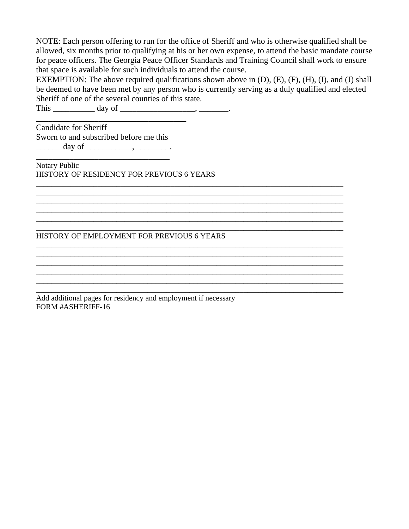NOTE: Each person offering to run for the office of Sheriff and who is otherwise qualified shall be allowed, six months prior to qualifying at his or her own expense, to attend the basic mandate course for peace officers. The Georgia Peace Officer Standards and Training Council shall work to ensure that space is available for such individuals to attend the course.

EXEMPTION: The above required qualifications shown above in (D), (E), (F), (H), (I), and (J) shall be deemed to have been met by any person who is currently serving as a duly qualified and elected Sheriff of one of the several counties of this state.

\_\_\_\_\_\_\_\_\_\_\_\_\_\_\_\_\_\_\_\_\_\_\_\_\_\_\_\_\_\_\_\_\_\_\_\_\_\_\_\_\_\_\_\_\_\_\_\_\_\_\_\_\_\_\_\_\_\_\_\_\_\_\_\_\_\_\_\_\_\_\_\_\_\_\_\_\_\_\_\_

\_\_\_\_\_\_\_\_\_\_\_\_\_\_\_\_\_\_\_\_\_\_\_\_\_\_\_\_\_\_\_\_\_\_\_\_\_\_\_\_\_\_\_\_\_\_\_\_\_\_\_\_\_\_\_\_\_\_\_\_\_\_\_\_\_\_\_\_\_\_\_\_\_\_\_\_\_\_\_\_ \_\_\_\_\_\_\_\_\_\_\_\_\_\_\_\_\_\_\_\_\_\_\_\_\_\_\_\_\_\_\_\_\_\_\_\_\_\_\_\_\_\_\_\_\_\_\_\_\_\_\_\_\_\_\_\_\_\_\_\_\_\_\_\_\_\_\_\_\_\_\_\_\_\_\_\_\_\_\_\_

\_\_\_\_\_\_\_\_\_\_\_\_\_\_\_\_\_\_\_\_\_\_\_\_\_\_\_\_\_\_\_\_\_\_\_\_\_\_\_\_\_\_\_\_\_\_\_\_\_\_\_\_\_\_\_\_\_\_\_\_\_\_\_\_\_\_\_\_\_\_\_\_\_\_\_\_\_\_\_\_

 $\mathcal{L}_\text{max}$  , and the set of the set of the set of the set of the set of the set of the set of the set of the set of the set of the set of the set of the set of the set of the set of the set of the set of the set of the \_\_\_\_\_\_\_\_\_\_\_\_\_\_\_\_\_\_\_\_\_\_\_\_\_\_\_\_\_\_\_\_\_\_\_\_\_\_\_\_\_\_\_\_\_\_\_\_\_\_\_\_\_\_\_\_\_\_\_\_\_\_\_\_\_\_\_\_\_\_\_\_\_\_\_\_\_\_\_\_ \_\_\_\_\_\_\_\_\_\_\_\_\_\_\_\_\_\_\_\_\_\_\_\_\_\_\_\_\_\_\_\_\_\_\_\_\_\_\_\_\_\_\_\_\_\_\_\_\_\_\_\_\_\_\_\_\_\_\_\_\_\_\_\_\_\_\_\_\_\_\_\_\_\_\_\_\_\_\_\_

\_\_\_\_\_\_\_\_\_\_\_\_\_\_\_\_\_\_\_\_\_\_\_\_\_\_\_\_\_\_\_\_\_\_\_\_\_\_\_\_\_\_\_\_\_\_\_\_\_\_\_\_\_\_\_\_\_\_\_\_\_\_\_\_\_\_\_\_\_\_\_\_\_\_\_\_\_\_\_\_ \_\_\_\_\_\_\_\_\_\_\_\_\_\_\_\_\_\_\_\_\_\_\_\_\_\_\_\_\_\_\_\_\_\_\_\_\_\_\_\_\_\_\_\_\_\_\_\_\_\_\_\_\_\_\_\_\_\_\_\_\_\_\_\_\_\_\_\_\_\_\_\_\_\_\_\_\_\_\_\_ \_\_\_\_\_\_\_\_\_\_\_\_\_\_\_\_\_\_\_\_\_\_\_\_\_\_\_\_\_\_\_\_\_\_\_\_\_\_\_\_\_\_\_\_\_\_\_\_\_\_\_\_\_\_\_\_\_\_\_\_\_\_\_\_\_\_\_\_\_\_\_\_\_\_\_\_\_\_\_\_ \_\_\_\_\_\_\_\_\_\_\_\_\_\_\_\_\_\_\_\_\_\_\_\_\_\_\_\_\_\_\_\_\_\_\_\_\_\_\_\_\_\_\_\_\_\_\_\_\_\_\_\_\_\_\_\_\_\_\_\_\_\_\_\_\_\_\_\_\_\_\_\_\_\_\_\_\_\_\_\_

This \_\_\_\_\_\_\_\_\_\_\_\_ day of \_\_\_\_\_\_\_\_\_\_\_\_\_\_\_\_\_\_\_\_\_, \_\_\_\_\_\_\_\_\_.

Candidate for Sheriff Sworn to and subscribed before me this  $\frac{day \text{ of } \qquad \ldots \qquad \qquad }$ 

\_\_\_\_\_\_\_\_\_\_\_\_\_\_\_\_\_\_\_\_\_\_\_\_\_\_\_\_\_\_\_\_\_\_\_\_

\_\_\_\_\_\_\_\_\_\_\_\_\_\_\_\_\_\_\_\_\_\_\_\_\_\_\_\_\_\_\_\_ Notary Public HISTORY OF RESIDENCY FOR PREVIOUS 6 YEARS

### HISTORY OF EMPLOYMENT FOR PREVIOUS 6 YEARS

Add additional pages for residency and employment if necessary FORM #ASHERIFF-16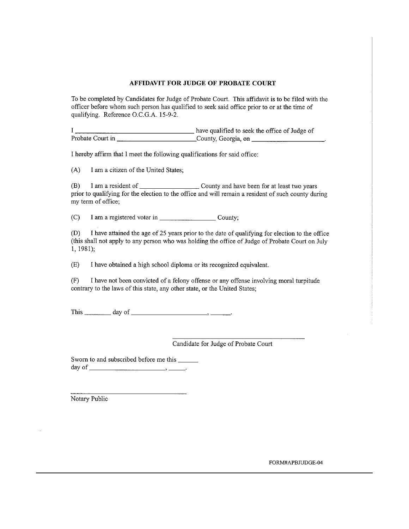#### **AFFIDAVIT FOR JUDGE OF PROBATE COURT**

To be completed by Candidates for Judge of Probate Court. This affidavit is to be filed with the officer before whom such person has qualified to seek said office prior to or at the time of qualifying. Reference O.C.G.A. 15-9-2.

I hereby affirm that I meet the following qualifications for said office:

I am a citizen of the United States;  $(A)$ 

(B) prior to qualifying for the election to the office and will remain a resident of such county during my term of office;

 $(C)$ 

 $(D)$ I have attained the age of 25 years prior to the date of qualifying for election to the office (this shall not apply to any person who was holding the office of Judge of Probate Court on July  $1, 1981);$ 

 $(E)$ I have obtained a high school diploma or its recognized equivalent.

 $(F)$ I have not been convicted of a felony offense or any offense involving moral turpitude contrary to the laws of this state, any other state, or the United States;

Candidate for Judge of Probate Court

Sworn to and subscribed before me this \_\_\_\_\_\_\_ 

Notary Public

FORM#APBJUDGE-04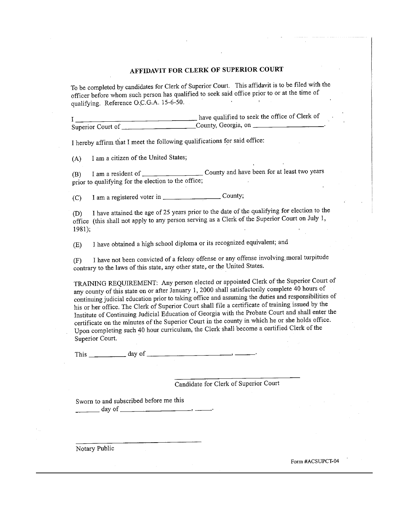### AFFIDAVIT FOR CLERK OF SUPERIOR COURT

To be completed by candidates for Clerk of Superior Court. This affidavit is to be filed with the officer before whom such person has qualified to seek said office prior to or at the time of qualifying. Reference O.C.G.A. 15-6-50. **College**  $\mathbf{L}$ 

I hereby affirm that I meet the following qualifications for said office:

I am a citizen of the United States;  $(A)$ 

 $(B)$ prior to qualifying for the election to the office; and the state of the

 $(C)$ 

I have attained the age of 25 years prior to the date of the qualifying for election to the  $(D)$ office (this shall not apply to any person serving as a Clerk of the Superior Court on July 1,  $1981$ :

I have obtained a high school diploma or its recognized equivalent; and  $(E)$ 

I have not been convicted of a felony offense or any offense involving moral turpitude  $(F)$ contrary to the laws of this state, any other state, or the United States.

TRAINING REQUIREMENT: Any person elected or appointed Clerk of the Superior Court of any county of this state on or after January 1, 2000 shall satisfactorily complete 40 hours of continuing judicial education prior to taking office and assuming the duties and responsibilities of his or her office. The Clerk of Superior Court shall file a certificate of training issued by the Institute of Continuing Judicial Education of Georgia with the Probate Court and shall enter the certificate on the minutes of the Superior Court in the county in which he or she holds office. Upon completing such 40 hour curriculum, the Clerk shall become a certified Clerk of the Superior Court.

This  $\_\_\_\_\_\_\_\$  day of  $\_\_\_\_\_\_\_\_\_\_\_\_\_\_\_\_\_\_$ 

Candidate for Clerk of Superior Court

Sworn to and subscribed before me this  $\frac{1}{\sqrt{1-\frac{1}{2}}}\frac{1}{\sqrt{1-\frac{1}{2}}}\frac{1}{\sqrt{1-\frac{1}{2}}}\frac{1}{\sqrt{1-\frac{1}{2}}}\frac{1}{\sqrt{1-\frac{1}{2}}}\frac{1}{\sqrt{1-\frac{1}{2}}}\frac{1}{\sqrt{1-\frac{1}{2}}}\frac{1}{\sqrt{1-\frac{1}{2}}}\frac{1}{\sqrt{1-\frac{1}{2}}}\frac{1}{\sqrt{1-\frac{1}{2}}}\frac{1}{\sqrt{1-\frac{1}{2}}}\frac{1}{\sqrt{1-\frac{1}{2}}}\frac{1}{\sqrt{1-\frac{1}{2}}}\frac{1}{\sqrt{1-\frac{$ 

Notary Public

Form #ACSUPCT-04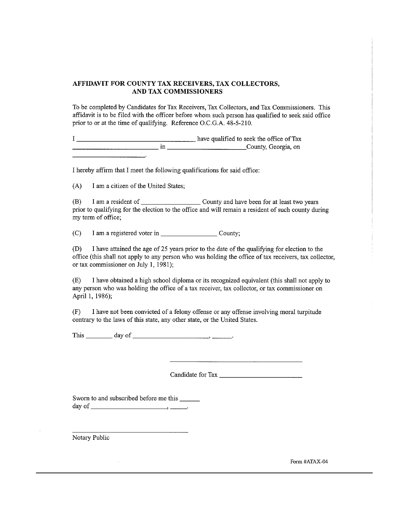#### AFFIDAVIT FOR COUNTY TAX RECEIVERS, TAX COLLECTORS, AND TAX COMMISSIONERS

To be completed by Candidates for Tax Receivers, Tax Collectors, and Tax Commissioners. This affidavit is to be filed with the officer before whom such person has qualified to seek said office prior to or at the time of qualifying. Reference O.C.G.A. 48-5-210.

have qualified to seek the office of Tax  $\mathbf{I}$ <u>Example 10</u> in County, Georgia, on

I hereby affirm that I meet the following qualifications for said office:

I am a citizen of the United States;  $(A)$ 

 $(B)$ prior to qualifying for the election to the office and will remain a resident of such county during my term of office;

 $(C)$ 

 $(D)$ I have attained the age of 25 years prior to the date of the qualifying for election to the office (this shall not apply to any person who was holding the office of tax receivers, tax collector, or tax commissioner on July 1, 1981);

 $(E)$ I have obtained a high school diploma or its recognized equivalent (this shall not apply to any person who was holding the office of a tax receiver, tax collector, or tax commissioner on April 1, 1986);

 $(F)$ I have not been convicted of a felony offense or any offense involving moral turpitude contrary to the laws of this state, any other state, or the United States.

This  $\_\_\_\_\_\$  day of  $\_\_\_\_\_\_\_\_\_\_\_\_\_\_\_\_\_\_\_\_$ 

Sworn to and subscribed before me this 

Notary Public

Form #ATAX-04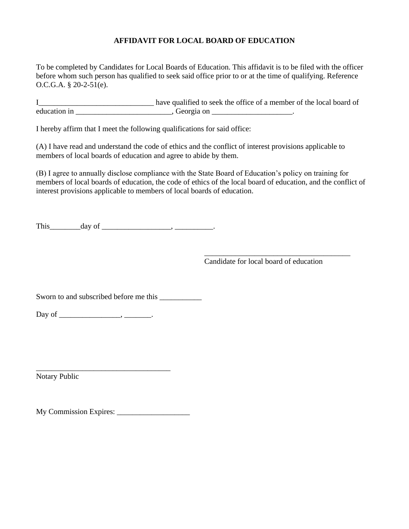### **AFFIDAVIT FOR LOCAL BOARD OF EDUCATION**

To be completed by Candidates for Local Boards of Education. This affidavit is to be filed with the officer before whom such person has qualified to seek said office prior to or at the time of qualifying. Reference O.C.G.A. § 20-2-51(e).

I\_\_\_\_\_\_\_\_\_\_\_\_\_\_\_\_\_\_\_\_\_\_\_\_\_\_\_\_\_\_ have qualified to seek the office of a member of the local board of education in \_\_\_\_\_\_\_\_\_\_\_\_\_\_\_\_\_\_\_\_\_\_\_\_\_\_, Georgia on \_\_\_\_\_\_\_\_\_\_\_\_\_\_\_\_\_\_\_\_\_\_.

I hereby affirm that I meet the following qualifications for said office:

(A) I have read and understand the code of ethics and the conflict of interest provisions applicable to members of local boards of education and agree to abide by them.

(B) I agree to annually disclose compliance with the State Board of Education's policy on training for members of local boards of education, the code of ethics of the local board of education, and the conflict of interest provisions applicable to members of local boards of education.

This\_\_\_\_\_\_\_\_day of \_\_\_\_\_\_\_\_\_\_\_\_\_\_\_\_\_\_, \_\_\_\_\_\_\_\_\_\_.

\_\_\_\_\_\_\_\_\_\_\_\_\_\_\_\_\_\_\_\_\_\_\_\_\_\_\_\_\_\_\_\_\_\_\_\_\_\_ Candidate for local board of education

Sworn to and subscribed before me this \_\_\_\_\_\_\_\_\_\_\_

Day of \_\_\_\_\_\_\_\_\_\_\_\_\_\_\_\_, \_\_\_\_\_\_\_.

\_\_\_\_\_\_\_\_\_\_\_\_\_\_\_\_\_\_\_\_\_\_\_\_\_\_\_\_\_\_\_\_\_\_\_ Notary Public

My Commission Expires: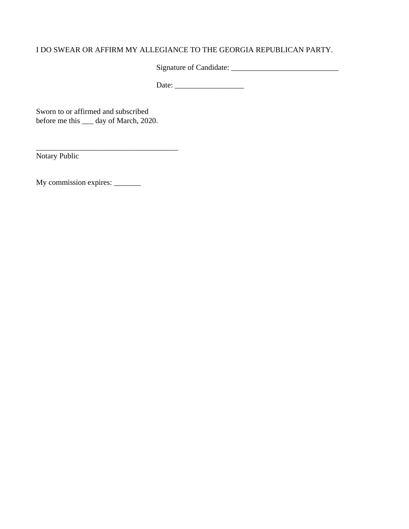### I DO SWEAR OR AFFIRM MY ALLEGIANCE TO THE GEORGIA REPUBLICAN PARTY.

Signature of Candidate: \_\_\_\_\_\_\_\_\_\_\_\_\_\_\_\_\_\_\_\_\_\_\_\_\_\_\_\_

Date: \_\_\_\_\_\_\_\_\_\_\_\_\_\_\_\_\_\_

Sworn to or affirmed and subscribed before me this \_\_\_ day of March, 2020.

\_\_\_\_\_\_\_\_\_\_\_\_\_\_\_\_\_\_\_\_\_\_\_\_\_\_\_\_\_\_\_\_\_\_\_\_\_

Notary Public

My commission expires: \_\_\_\_\_\_\_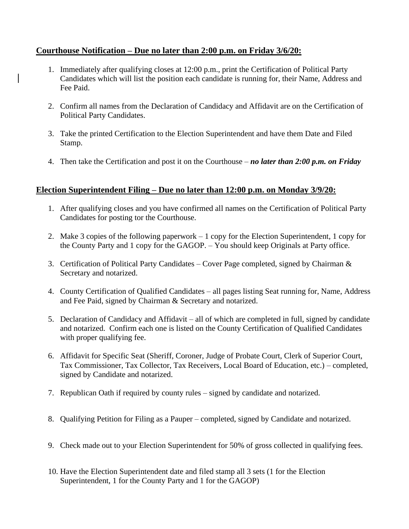### **Courthouse Notification – Due no later than 2:00 p.m. on Friday 3/6/20:**

- 1. Immediately after qualifying closes at 12:00 p.m., print the Certification of Political Party Candidates which will list the position each candidate is running for, their Name, Address and Fee Paid.
- 2. Confirm all names from the Declaration of Candidacy and Affidavit are on the Certification of Political Party Candidates.
- 3. Take the printed Certification to the Election Superintendent and have them Date and Filed Stamp.
- 4. Then take the Certification and post it on the Courthouse *no later than 2:00 p.m. on Friday*

### **Election Superintendent Filing – Due no later than 12:00 p.m. on Monday 3/9/20:**

- 1. After qualifying closes and you have confirmed all names on the Certification of Political Party Candidates for posting tor the Courthouse.
- 2. Make 3 copies of the following paperwork 1 copy for the Election Superintendent, 1 copy for the County Party and 1 copy for the GAGOP. – You should keep Originals at Party office.
- 3. Certification of Political Party Candidates Cover Page completed, signed by Chairman  $\&$ Secretary and notarized.
- 4. County Certification of Qualified Candidates all pages listing Seat running for, Name, Address and Fee Paid, signed by Chairman & Secretary and notarized.
- 5. Declaration of Candidacy and Affidavit all of which are completed in full, signed by candidate and notarized. Confirm each one is listed on the County Certification of Qualified Candidates with proper qualifying fee.
- 6. Affidavit for Specific Seat (Sheriff, Coroner, Judge of Probate Court, Clerk of Superior Court, Tax Commissioner, Tax Collector, Tax Receivers, Local Board of Education, etc.) – completed, signed by Candidate and notarized.
- 7. Republican Oath if required by county rules signed by candidate and notarized.
- 8. Qualifying Petition for Filing as a Pauper completed, signed by Candidate and notarized.
- 9. Check made out to your Election Superintendent for 50% of gross collected in qualifying fees.
- 10. Have the Election Superintendent date and filed stamp all 3 sets (1 for the Election Superintendent, 1 for the County Party and 1 for the GAGOP)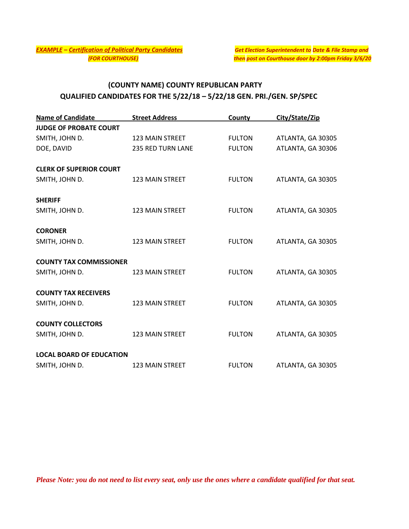## **(COUNTY NAME) COUNTY REPUBLICAN PARTY QUALIFIED CANDIDATES FOR THE 5/22/18 – 5/22/18 GEN. PRI./GEN. SP/SPEC**

| <b>Name of Candidate</b>        | <b>Street Address</b>    | County        | City/State/Zip    |
|---------------------------------|--------------------------|---------------|-------------------|
| <b>JUDGE OF PROBATE COURT</b>   |                          |               |                   |
| SMITH, JOHN D.                  | <b>123 MAIN STREET</b>   | <b>FULTON</b> | ATLANTA, GA 30305 |
| DOE, DAVID                      | <b>235 RED TURN LANE</b> | <b>FULTON</b> | ATLANTA, GA 30306 |
| <b>CLERK OF SUPERIOR COURT</b>  |                          |               |                   |
| SMITH, JOHN D.                  | <b>123 MAIN STREET</b>   | <b>FULTON</b> | ATLANTA, GA 30305 |
| <b>SHERIFF</b>                  |                          |               |                   |
| SMITH, JOHN D.                  | 123 MAIN STREET          | <b>FULTON</b> | ATLANTA, GA 30305 |
| <b>CORONER</b>                  |                          |               |                   |
| SMITH, JOHN D.                  | 123 MAIN STREET          | <b>FULTON</b> | ATLANTA, GA 30305 |
| <b>COUNTY TAX COMMISSIONER</b>  |                          |               |                   |
| SMITH, JOHN D.                  | <b>123 MAIN STREET</b>   | <b>FULTON</b> | ATLANTA, GA 30305 |
| <b>COUNTY TAX RECEIVERS</b>     |                          |               |                   |
| SMITH, JOHN D.                  | <b>123 MAIN STREET</b>   | <b>FULTON</b> | ATLANTA, GA 30305 |
| <b>COUNTY COLLECTORS</b>        |                          |               |                   |
| SMITH, JOHN D.                  | <b>123 MAIN STREET</b>   | <b>FULTON</b> | ATLANTA, GA 30305 |
| <b>LOCAL BOARD OF EDUCATION</b> |                          |               |                   |
| SMITH, JOHN D.                  | <b>123 MAIN STREET</b>   | <b>FULTON</b> | ATLANTA, GA 30305 |

*Please Note: you do not need to list every seat, only use the ones where a candidate qualified for that seat.*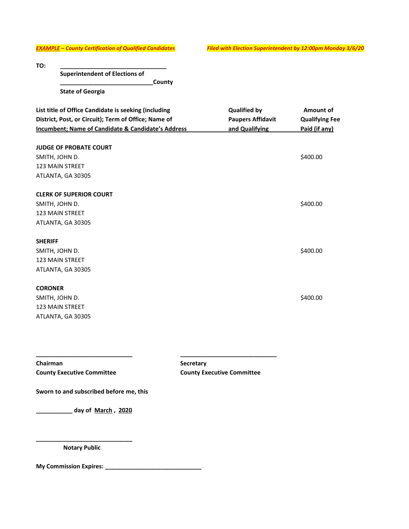*EXAMPLE – County Certification of Qualified Candidates Filed with Election Superintendent by 12:00pm Monday 3/6/20*

| TO:                                                  |                          |                       |
|------------------------------------------------------|--------------------------|-----------------------|
| <b>Superintendent of Elections of</b>                |                          |                       |
| County                                               |                          |                       |
| <b>State of Georgia</b>                              |                          |                       |
| List title of Office Candidate is seeking (including | <b>Qualified by</b>      | Amount of             |
| District, Post, or Circuit); Term of Office; Name of | <b>Paupers Affidavit</b> | <b>Qualifying Fee</b> |
| Incumbent; Name of Candidate & Candidate's Address   | and Qualifying           | Paid (if any)         |
| <b>JUDGE OF PROBATE COURT</b>                        |                          |                       |
| SMITH, JOHN D.                                       |                          | \$400.00              |
| <b>123 MAIN STREET</b>                               |                          |                       |
| ATLANTA, GA 30305                                    |                          |                       |
| <b>CLERK OF SUPERIOR COURT</b>                       |                          |                       |
| SMITH, JOHN D.                                       |                          | \$400.00              |
| <b>123 MAIN STREET</b>                               |                          |                       |
| ATLANTA, GA 30305                                    |                          |                       |
| <b>SHERIFF</b>                                       |                          |                       |
| SMITH, JOHN D.                                       |                          | \$400.00              |
| <b>123 MAIN STREET</b>                               |                          |                       |
| ATLANTA, GA 30305                                    |                          |                       |
| <b>CORONER</b>                                       |                          |                       |

**\_\_\_\_\_\_\_\_\_\_\_\_\_\_\_\_\_\_\_\_\_\_\_\_\_\_\_\_\_ \_\_\_\_\_\_\_\_\_\_\_\_\_\_\_\_\_\_\_\_\_\_\_\_\_\_\_\_\_**

SMITH, JOHN D. \$400.00 123 MAIN STREET ATLANTA, GA 30305

**Chairman Secretary County Executive Committee County Executive Committee**

**Sworn to and subscribed before me, this**

**\_\_\_\_\_\_\_\_\_\_\_ day of March , 2020**

**\_\_\_\_\_\_\_\_\_\_\_\_\_\_\_\_\_\_\_\_\_\_\_\_\_\_\_\_\_ Notary Public**

**My Commission Expires: \_\_\_\_\_\_\_\_\_\_\_\_\_\_\_\_\_\_\_\_\_\_\_\_\_\_\_\_\_**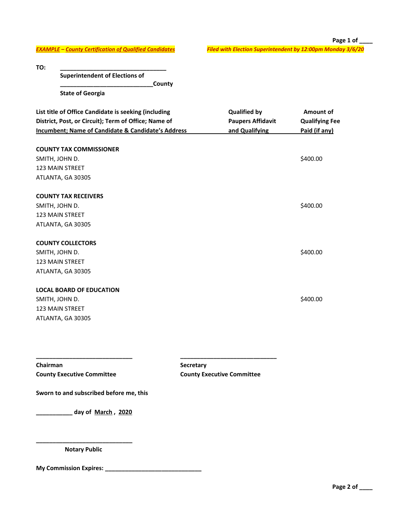*EXAMPLE – County Certification of Qualified Candidates Filed with Election Superintendent by 12:00pm Monday 3/6/20*

**Page 1 of \_\_\_\_** 

**TO: \_\_\_\_\_\_\_\_\_\_\_\_\_\_\_\_\_\_\_\_\_\_\_\_\_\_\_\_\_\_\_\_**

**Superintendent of Elections of** 

**\_\_\_\_\_\_\_\_\_\_\_\_\_\_\_\_\_\_\_\_\_\_\_\_\_\_\_\_County**

**State of Georgia**

| List title of Office Candidate is seeking (including<br>District, Post, or Circuit); Term of Office; Name of<br><b>Incumbent; Name of Candidate &amp; Candidate's Address</b> | <b>Qualified by</b><br><b>Paupers Affidavit</b><br>and Qualifying | Amount of<br><b>Qualifying Fee</b><br>Paid (if any) |
|-------------------------------------------------------------------------------------------------------------------------------------------------------------------------------|-------------------------------------------------------------------|-----------------------------------------------------|
| <b>COUNTY TAX COMMISSIONER</b><br>SMITH, JOHN D.<br><b>123 MAIN STREET</b>                                                                                                    |                                                                   | \$400.00                                            |
| ATLANTA, GA 30305<br><b>COUNTY TAX RECEIVERS</b><br>SMITH, JOHN D.<br><b>123 MAIN STREET</b><br>ATLANTA, GA 30305                                                             |                                                                   | \$400.00                                            |
| <b>COUNTY COLLECTORS</b><br>SMITH, JOHN D.<br><b>123 MAIN STREET</b><br>ATLANTA, GA 30305                                                                                     |                                                                   | \$400.00                                            |
| <b>LOCAL BOARD OF EDUCATION</b><br>SMITH, JOHN D.<br><b>123 MAIN STREET</b><br>ATLANTA, GA 30305                                                                              |                                                                   | \$400.00                                            |

**\_\_\_\_\_\_\_\_\_\_\_\_\_\_\_\_\_\_\_\_\_\_\_\_\_\_\_\_\_ \_\_\_\_\_\_\_\_\_\_\_\_\_\_\_\_\_\_\_\_\_\_\_\_\_\_\_\_\_**

**Chairman Secretary County Executive Committee County Executive Committee**

**Sworn to and subscribed before me, this**

**\_\_\_\_\_\_\_\_\_\_\_ day of March , 2020**

**\_\_\_\_\_\_\_\_\_\_\_\_\_\_\_\_\_\_\_\_\_\_\_\_\_\_\_\_\_ Notary Public**

**My Commission Expires: \_\_\_\_\_\_\_\_\_\_\_\_\_\_\_\_\_\_\_\_\_\_\_\_\_\_\_\_\_**